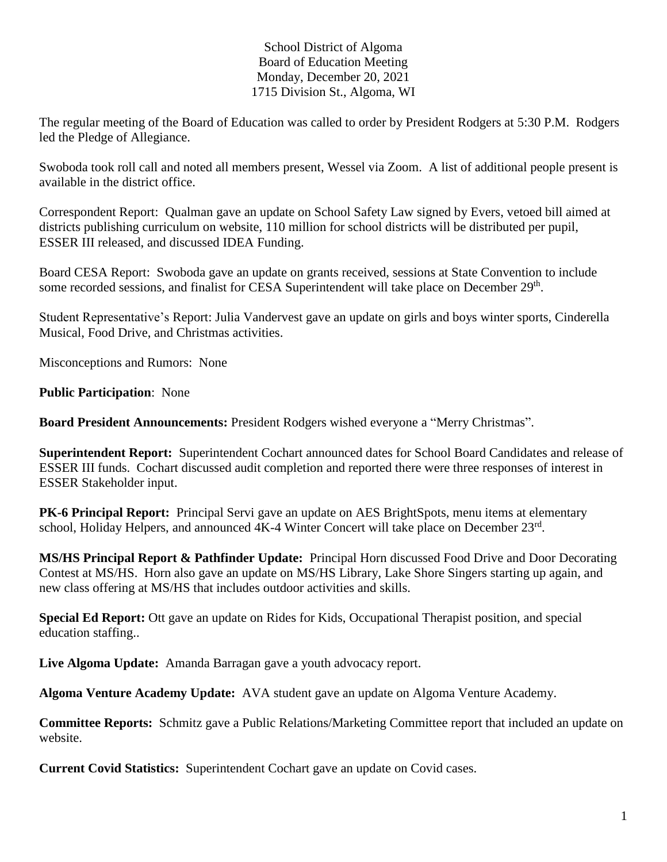## School District of Algoma Board of Education Meeting Monday, December 20, 2021 1715 Division St., Algoma, WI

The regular meeting of the Board of Education was called to order by President Rodgers at 5:30 P.M. Rodgers led the Pledge of Allegiance.

Swoboda took roll call and noted all members present, Wessel via Zoom. A list of additional people present is available in the district office.

Correspondent Report: Qualman gave an update on School Safety Law signed by Evers, vetoed bill aimed at districts publishing curriculum on website, 110 million for school districts will be distributed per pupil, ESSER III released, and discussed IDEA Funding.

Board CESA Report: Swoboda gave an update on grants received, sessions at State Convention to include some recorded sessions, and finalist for CESA Superintendent will take place on December 29<sup>th</sup>.

Student Representative's Report: Julia Vandervest gave an update on girls and boys winter sports, Cinderella Musical, Food Drive, and Christmas activities.

Misconceptions and Rumors: None

**Public Participation**: None

**Board President Announcements:** President Rodgers wished everyone a "Merry Christmas".

**Superintendent Report:** Superintendent Cochart announced dates for School Board Candidates and release of ESSER III funds. Cochart discussed audit completion and reported there were three responses of interest in ESSER Stakeholder input.

**PK-6 Principal Report:** Principal Servi gave an update on AES BrightSpots, menu items at elementary school, Holiday Helpers, and announced 4K-4 Winter Concert will take place on December 23<sup>rd</sup>.

**MS/HS Principal Report & Pathfinder Update:** Principal Horn discussed Food Drive and Door Decorating Contest at MS/HS. Horn also gave an update on MS/HS Library, Lake Shore Singers starting up again, and new class offering at MS/HS that includes outdoor activities and skills.

**Special Ed Report:** Ott gave an update on Rides for Kids, Occupational Therapist position, and special education staffing..

**Live Algoma Update:** Amanda Barragan gave a youth advocacy report.

**Algoma Venture Academy Update:** AVA student gave an update on Algoma Venture Academy.

**Committee Reports:** Schmitz gave a Public Relations/Marketing Committee report that included an update on website.

**Current Covid Statistics:** Superintendent Cochart gave an update on Covid cases.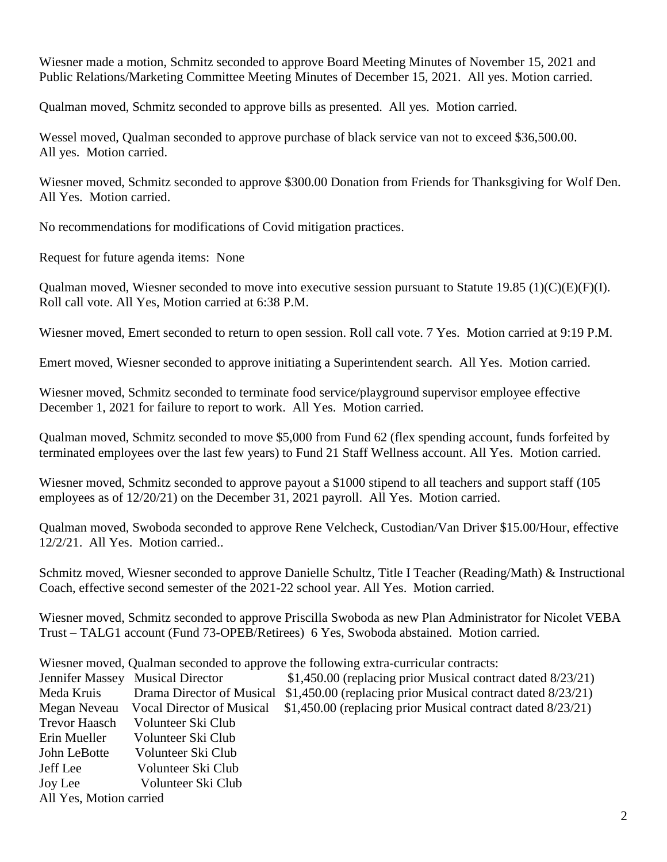Wiesner made a motion, Schmitz seconded to approve Board Meeting Minutes of November 15, 2021 and Public Relations/Marketing Committee Meeting Minutes of December 15, 2021. All yes. Motion carried.

Qualman moved, Schmitz seconded to approve bills as presented. All yes. Motion carried.

Wessel moved, Qualman seconded to approve purchase of black service van not to exceed \$36,500.00. All yes. Motion carried.

Wiesner moved, Schmitz seconded to approve \$300.00 Donation from Friends for Thanksgiving for Wolf Den. All Yes. Motion carried.

No recommendations for modifications of Covid mitigation practices.

Request for future agenda items: None

Qualman moved, Wiesner seconded to move into executive session pursuant to Statute 19.85 (1)(C)(E)(F)(I). Roll call vote. All Yes, Motion carried at 6:38 P.M.

Wiesner moved, Emert seconded to return to open session. Roll call vote. 7 Yes. Motion carried at 9:19 P.M.

Emert moved, Wiesner seconded to approve initiating a Superintendent search. All Yes. Motion carried.

Wiesner moved, Schmitz seconded to terminate food service/playground supervisor employee effective December 1, 2021 for failure to report to work. All Yes. Motion carried.

Qualman moved, Schmitz seconded to move \$5,000 from Fund 62 (flex spending account, funds forfeited by terminated employees over the last few years) to Fund 21 Staff Wellness account. All Yes. Motion carried.

Wiesner moved, Schmitz seconded to approve payout a \$1000 stipend to all teachers and support staff (105 employees as of 12/20/21) on the December 31, 2021 payroll. All Yes. Motion carried.

Qualman moved, Swoboda seconded to approve Rene Velcheck, Custodian/Van Driver \$15.00/Hour, effective 12/2/21. All Yes. Motion carried..

Schmitz moved, Wiesner seconded to approve Danielle Schultz, Title I Teacher (Reading/Math) & Instructional Coach, effective second semester of the 2021-22 school year. All Yes. Motion carried.

Wiesner moved, Schmitz seconded to approve Priscilla Swoboda as new Plan Administrator for Nicolet VEBA Trust – TALG1 account (Fund 73-OPEB/Retirees) 6 Yes, Swoboda abstained. Motion carried.

Wiesner moved, Qualman seconded to approve the following extra-curricular contracts:

|                         | Jennifer Massey Musical Director | \$1,450.00 (replacing prior Musical contract dated 8/23/21) |
|-------------------------|----------------------------------|-------------------------------------------------------------|
| Meda Kruis              | Drama Director of Musical        | \$1,450.00 (replacing prior Musical contract dated 8/23/21) |
| Megan Neveau            | Vocal Director of Musical        | \$1,450.00 (replacing prior Musical contract dated 8/23/21) |
| <b>Trevor Haasch</b>    | Volunteer Ski Club               |                                                             |
| Erin Mueller            | Volunteer Ski Club               |                                                             |
| John LeBotte            | Volunteer Ski Club               |                                                             |
| Jeff Lee                | Volunteer Ski Club               |                                                             |
| Joy Lee                 | Volunteer Ski Club               |                                                             |
| All Yes, Motion carried |                                  |                                                             |